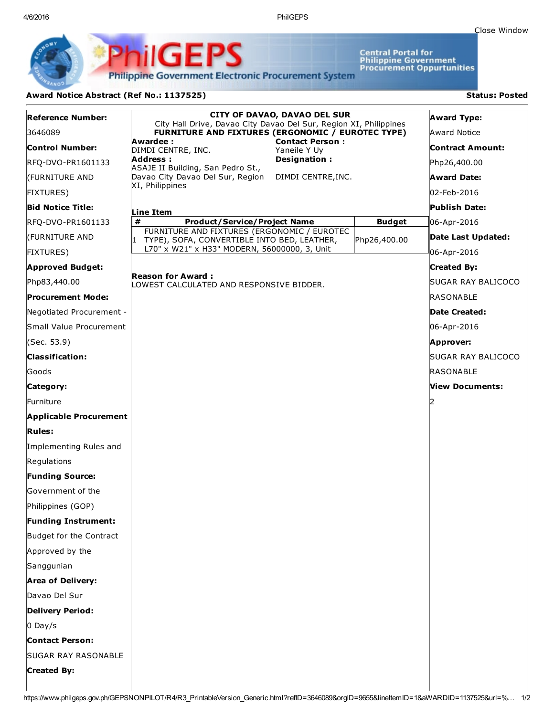4/6/2016 PhilGEPS

Central Portal for<br>Philippine Government<br>Procurement Oppurtunities

**Philippine Government Electronic Procurement System** 

PS

iliGEI

## Award Notice Abstract (Ref No.: 1137525) Status: Posted

Ph

| <b>Reference Number:</b>      | <b>CITY OF DAVAO, DAVAO DEL SUR</b><br>City Hall Drive, Davao City Davao Del Sur, Region XI, Philippines                 |               | <b>Award Type:</b>      |
|-------------------------------|--------------------------------------------------------------------------------------------------------------------------|---------------|-------------------------|
| 3646089                       | FURNITURE AND FIXTURES (ERGONOMIC / EUROTEC TYPE)                                                                        |               | Award Notice            |
| <b>Control Number:</b>        | <b>Contact Person:</b><br>Awardee:<br>DIMDI CENTRE, INC.<br>Yaneile Y Uy                                                 |               | <b>Contract Amount:</b> |
| RFQ-DVO-PR1601133             | Address :<br>Designation:<br>ASAJE II Building, San Pedro St.,<br>Davao City Davao Del Sur, Region<br>DIMDI CENTRE, INC. |               | Php26,400.00            |
| (FURNITURE AND                |                                                                                                                          |               | <b>Award Date:</b>      |
| <b>FIXTURES)</b>              | XI, Philippines                                                                                                          |               | 02-Feb-2016             |
| <b>Bid Notice Title:</b>      | Line Item                                                                                                                |               | Publish Date:           |
| RFQ-DVO-PR1601133             | #<br><b>Product/Service/Project Name</b>                                                                                 | <b>Budget</b> | 06-Apr-2016             |
| (FURNITURE AND                | FURNITURE AND FIXTURES (ERGONOMIC / EUROTEC<br>I1<br>TYPE), SOFA, CONVERTIBLE INTO BED, LEATHER,                         | Php26,400.00  | Date Last Updated:      |
| <b>FIXTURES</b> )             | L70" x W21" x H33" MODERN, 56000000, 3, Unit                                                                             |               | 06-Apr-2016             |
| <b>Approved Budget:</b>       |                                                                                                                          |               | <b>Created By:</b>      |
| Php83,440.00                  | <b>Reason for Award:</b><br>LOWEST CALCULATED AND RESPONSIVE BIDDER.                                                     |               | SUGAR RAY BALICOCO      |
| Procurement Mode:             |                                                                                                                          |               | RASONABLE               |
| Negotiated Procurement -      |                                                                                                                          |               | Date Created:           |
| Small Value Procurement       |                                                                                                                          |               | 06-Apr-2016             |
| (Sec. 53.9)                   |                                                                                                                          |               | Approver:               |
| <b>Classification:</b>        |                                                                                                                          |               | SUGAR RAY BALICOCO      |
| Goods                         |                                                                                                                          |               | RASONABLE               |
| Category:                     |                                                                                                                          |               | View Documents:         |
| lFurniture                    |                                                                                                                          |               | 12                      |
| <b>Applicable Procurement</b> |                                                                                                                          |               |                         |
| <b>Rules:</b>                 |                                                                                                                          |               |                         |
| Implementing Rules and        |                                                                                                                          |               |                         |
| Regulations                   |                                                                                                                          |               |                         |
| <b>Funding Source:</b>        |                                                                                                                          |               |                         |
| Government of the             |                                                                                                                          |               |                         |
| Philippines (GOP)             |                                                                                                                          |               |                         |
| <b>Funding Instrument:</b>    |                                                                                                                          |               |                         |
| Budget for the Contract       |                                                                                                                          |               |                         |
| Approved by the               |                                                                                                                          |               |                         |
| Sanggunian                    |                                                                                                                          |               |                         |
| <b>Area of Delivery:</b>      |                                                                                                                          |               |                         |
| Davao Del Sur                 |                                                                                                                          |               |                         |
| <b>Delivery Period:</b>       |                                                                                                                          |               |                         |
| $0$ Day/s                     |                                                                                                                          |               |                         |
| <b>Contact Person:</b>        |                                                                                                                          |               |                         |
| <b>SUGAR RAY RASONABLE</b>    |                                                                                                                          |               |                         |
| <b>Created By:</b>            |                                                                                                                          |               |                         |
|                               |                                                                                                                          |               |                         |